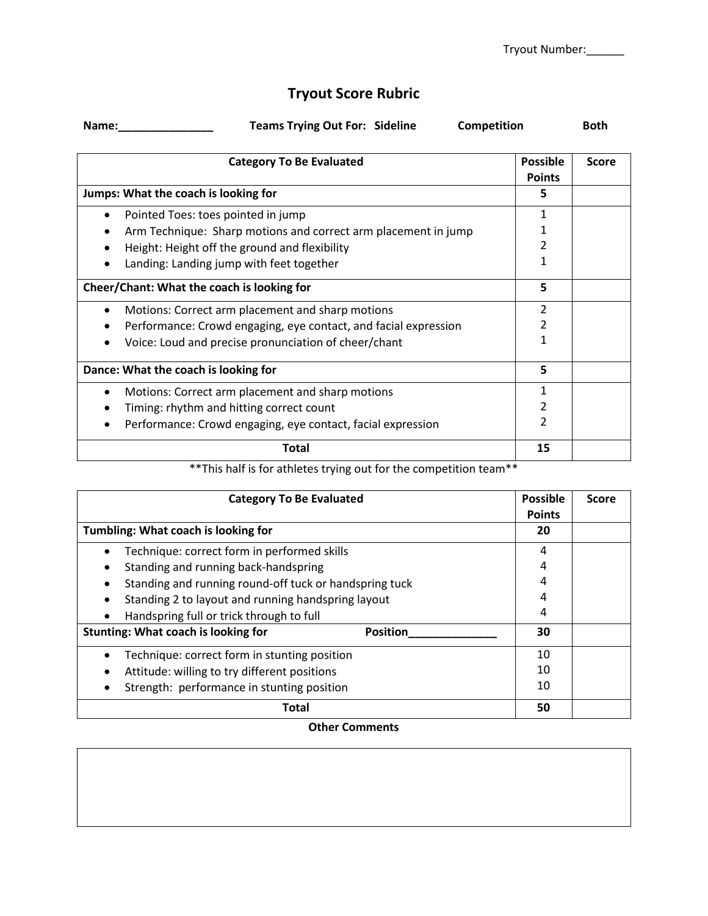## **Tryout Score Rubric**

| Name: | <b>Teams Trying Out For: Sideline</b> | Competition | Both |
|-------|---------------------------------------|-------------|------|

| <b>Category To Be Evaluated</b>                                 |    | <b>Score</b> |
|-----------------------------------------------------------------|----|--------------|
| Jumps: What the coach is looking for                            |    |              |
|                                                                 |    |              |
| Pointed Toes: toes pointed in jump                              | 1  |              |
| Arm Technique: Sharp motions and correct arm placement in jump  |    |              |
| Height: Height off the ground and flexibility                   | 2  |              |
| Landing: Landing jump with feet together                        | 1  |              |
| Cheer/Chant: What the coach is looking for                      |    |              |
| Motions: Correct arm placement and sharp motions<br>$\bullet$   | 2  |              |
| Performance: Crowd engaging, eye contact, and facial expression |    |              |
| Voice: Loud and precise pronunciation of cheer/chant            | 1  |              |
| Dance: What the coach is looking for                            |    |              |
| Motions: Correct arm placement and sharp motions                |    |              |
| Timing: rhythm and hitting correct count                        |    |              |
| Performance: Crowd engaging, eye contact, facial expression     | 2  |              |
| Total                                                           | 15 |              |

## \*\*This half is for athletes trying out for the competition team\*\*

| <b>Category To Be Evaluated</b>                               | <b>Possible</b><br><b>Points</b> | <b>Score</b> |
|---------------------------------------------------------------|----------------------------------|--------------|
| Tumbling: What coach is looking for                           | 20                               |              |
| Technique: correct form in performed skills                   | 4                                |              |
| Standing and running back-handspring                          | 4                                |              |
| Standing and running round-off tuck or handspring tuck        | 4                                |              |
| Standing 2 to layout and running handspring layout            |                                  |              |
| Handspring full or trick through to full<br>$\bullet$         | 4                                |              |
| <b>Stunting: What coach is looking for</b><br><b>Position</b> | 30                               |              |
| Technique: correct form in stunting position                  | 10                               |              |
| Attitude: willing to try different positions                  |                                  |              |
| Strength: performance in stunting position                    | 10                               |              |
| Total                                                         | 50                               |              |

## **Other Comments**